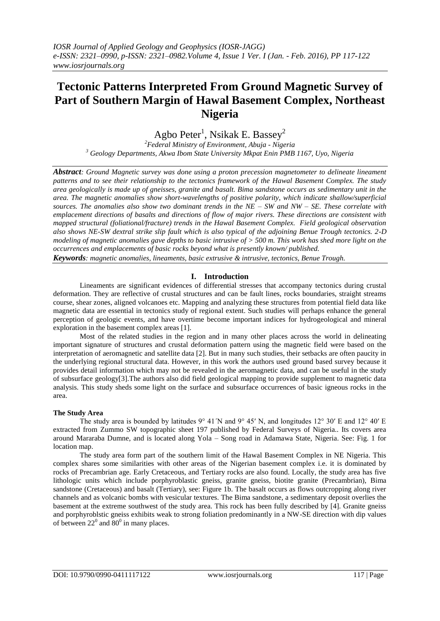# **Tectonic Patterns Interpreted From Ground Magnetic Survey of Part of Southern Margin of Hawal Basement Complex, Northeast Nigeria**

Agbo Peter $^{\rm l}$ , Nsikak E. Bassey $^{\rm 2}$ 

*<sup>2</sup>Federal Ministry of Environment, Abuja - Nigeria <sup>3</sup> Geology Departments, Akwa Ibom State University Mkpat Enin PMB 1167, Uyo, Nigeria*

*Abstract: Ground Magnetic survey was done using a proton precession magnetometer to delineate lineament patterns and to see their relationship to the tectonics framework of the Hawal Basement Complex. The study area geologically is made up of gneisses, granite and basalt. Bima sandstone occurs as sedimentary unit in the area. The magnetic anomalies show short-wavelengths of positive polarity, which indicate shallow/superficial sources. The anomalies also show two dominant trends in the NE – SW and NW – SE. These correlate with emplacement directions of basalts and directions of flow of major rivers. These directions are consistent with mapped structural (foliational/fracture) trends in the Hawal Basement Complex. Field geological observation also shows NE-SW dextral strike slip fault which is also typical of the adjoining Benue Trough tectonics. 2-D modeling of magnetic anomalies gave depths to basic intrusive of > 500 m. This work has shed more light on the occurrences and emplacements of basic rocks beyond what is presently known/ published.*

*Keywords: magnetic anomalies, lineaments, basic extrusive & intrusive, tectonics, Benue Trough.*

## **I. Introduction**

Lineaments are significant evidences of differential stresses that accompany tectonics during crustal deformation. They are reflective of crustal structures and can be fault lines, rocks boundaries, straight streams course, shear zones, aligned volcanoes etc. Mapping and analyzing these structures from potential field data like magnetic data are essential in tectonics study of regional extent. Such studies will perhaps enhance the general perception of geologic events, and have overtime become important indices for hydrogeological and mineral exploration in the basement complex areas [1].

Most of the related studies in the region and in many other places across the world in delineating important signature of structures and crustal deformation pattern using the magnetic field were based on the interpretation of aeromagnetic and satellite data [2]. But in many such studies, their setbacks are often paucity in the underlying regional structural data. However, in this work the authors used ground based survey because it provides detail information which may not be revealed in the aeromagnetic data, and can be useful in the study of subsurface geology[3].The authors also did field geological mapping to provide supplement to magnetic data analysis. This study sheds some light on the surface and subsurface occurrences of basic igneous rocks in the area.

#### **The Study Area**

The study area is bounded by latitudes  $9^{\circ}$  41<sup> $\prime$ </sup>N and  $9^{\circ}$  45 $^{\prime}$ N, and longitudes 12 $^{\circ}$  30 $^{\prime}$ E and 12 $^{\circ}$  40 $^{\prime}$ E extracted from Zummo SW topographic sheet 197 published by Federal Surveys of Nigeria.. Its covers area around Mararaba Dumne, and is located along Yola – Song road in Adamawa State, Nigeria. See: Fig. 1 for location map.

The study area form part of the southern limit of the Hawal Basement Complex in NE Nigeria. This complex shares some similarities with other areas of the Nigerian basement complex i.e. it is dominated by rocks of Precambrian age. Early Cretaceous, and Tertiary rocks are also found. Locally, the study area has five lithologic units which include porphyroblastic gneiss, granite gneiss, biotite granite (Precambrian), Bima sandstone (Cretaceous) and basalt (Tertiary), see: Figure 1b. The basalt occurs as flows outcropping along river channels and as volcanic bombs with vesicular textures. The Bima sandstone, a sedimentary deposit overlies the basement at the extreme southwest of the study area. This rock has been fully described by [4]. Granite gneiss and porphyroblstic gneiss exhibits weak to strong foliation predominantly in a NW-SE direction with dip values of between  $22^{\circ}$  and  $80^{\circ}$  in many places.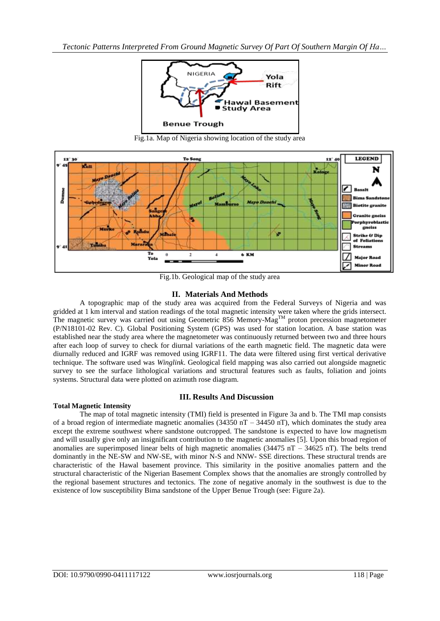

Fig.1a. Map of Nigeria showing location of the study area



Fig.1b. Geological map of the study area

### **II. Materials And Methods**

A topographic map of the study area was acquired from the Federal Surveys of Nigeria and was gridded at 1 km interval and station readings of the total magnetic intensity were taken where the grids intersect. The magnetic survey was carried out using Geometric 856 Memory-Mag<sup>TM</sup> proton precession magnetometer (P/N18101-02 Rev. C). Global Positioning System (GPS) was used for station location. A base station was established near the study area where the magnetometer was continuously returned between two and three hours after each loop of survey to check for diurnal variations of the earth magnetic field. The magnetic data were diurnally reduced and IGRF was removed using IGRF11. The data were filtered using first vertical derivative technique. The software used was *Winglink*. Geological field mapping was also carried out alongside magnetic survey to see the surface lithological variations and structural features such as faults, foliation and joints systems. Structural data were plotted on azimuth rose diagram.

## **III. Results And Discussion**

The map of total magnetic intensity (TMI) field is presented in Figure 3a and b. The TMI map consists of a broad region of intermediate magnetic anomalies (34350 nT – 34450 nT), which dominates the study area except the extreme southwest where sandstone outcropped. The sandstone is expected to have low magnetism and will usually give only an insignificant contribution to the magnetic anomalies [5]. Upon this broad region of anomalies are superimposed linear belts of high magnetic anomalies  $(34475 \text{ nT} - 34625 \text{ nT})$ . The belts trend dominantly in the NE-SW and NW-SE, with minor N-S and NNW- SSE directions. These structural trends are characteristic of the Hawal basement province. This similarity in the positive anomalies pattern and the structural characteristic of the Nigerian Basement Complex shows that the anomalies are strongly controlled by the regional basement structures and tectonics. The zone of negative anomaly in the southwest is due to the existence of low susceptibility Bima sandstone of the Upper Benue Trough (see: Figure 2a).

**Total Magnetic Intensity**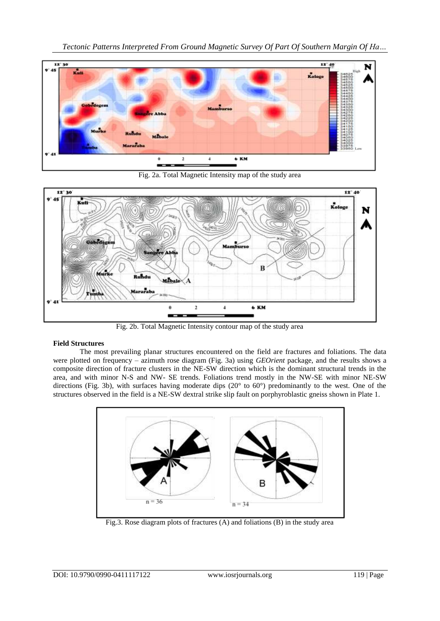*Tectonic Patterns Interpreted From Ground Magnetic Survey Of Part Of Southern Margin Of Ha…*



Fig. 2a. Total Magnetic Intensity map of the study area



Fig. 2b. Total Magnetic Intensity contour map of the study area

## **Field Structures**

The most prevailing planar structures encountered on the field are fractures and foliations. The data were plotted on frequency – azimuth rose diagram (Fig. 3a) using *GEOrient* package, and the results shows a composite direction of fracture clusters in the NE-SW direction which is the dominant structural trends in the area, and with minor N-S and NW- SE trends. Foliations trend mostly in the NW-SE with minor NE-SW directions (Fig. 3b), with surfaces having moderate dips (20° to 60°) predominantly to the west. One of the structures observed in the field is a NE-SW dextral strike slip fault on porphyroblastic gneiss shown in Plate 1.



Fig.3. Rose diagram plots of fractures (A) and foliations (B) in the study area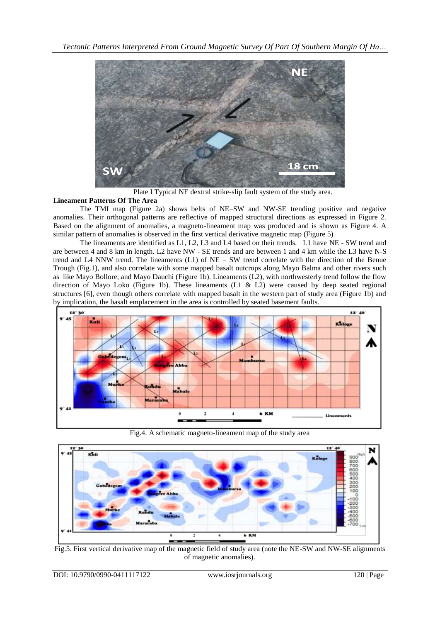

Plate I Typical NE dextral strike-slip fault system of the study area.

## **Lineament Patterns Of The Area**

The TMI map (Figure 2a) shows belts of NE–SW and NW-SE trending positive and negative anomalies. Their orthogonal patterns are reflective of mapped structural directions as expressed in Figure 2. Based on the alignment of anomalies, a magneto-lineament map was produced and is shown as Figure 4. A similar pattern of anomalies is observed in the first vertical derivative magnetic map (Figure 5)

The lineaments are identified as L1, L2, L3 and L4 based on their trends. L1 have NE - SW trend and are between 4 and 8 km in length. L2 have NW - SE trends and are between 1 and 4 km while the L3 have N-S trend and L4 NNW trend. The lineaments (L1) of NE – SW trend correlate with the direction of the Benue Trough (Fig.1), and also correlate with some mapped basalt outcrops along Mayo Balma and other rivers such as like Mayo Bollore, and Mayo Dauchi (Figure 1b). Lineaments (L2), with northwesterly trend follow the flow direction of Mayo Loko (Figure 1b). These lineaments  $(L1 \& L2)$  were caused by deep seated regional structures [6], even though others correlate with mapped basalt in the western part of study area (Figure 1b) and by implication, the basalt emplacement in the area is controlled by seated basement faults.



Fig.4. A schematic magneto-lineament map of the study area



Fig.5. First vertical derivative map of the magnetic field of study area (note the NE-SW and NW-SE alignments of magnetic anomalies).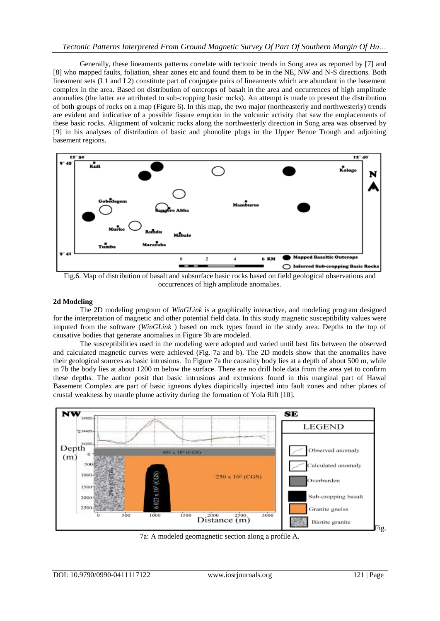### *Tectonic Patterns Interpreted From Ground Magnetic Survey Of Part Of Southern Margin Of Ha…*

Generally, these lineaments patterns correlate with tectonic trends in Song area as reported by [7] and [8] who mapped faults, foliation, shear zones etc and found them to be in the NE, NW and N-S directions. Both lineament sets (L1 and L2) constitute part of conjugate pairs of lineaments which are abundant in the basement complex in the area. Based on distribution of outcrops of basalt in the area and occurrences of high amplitude anomalies (the latter are attributed to sub-cropping basic rocks). An attempt is made to present the distribution of both groups of rocks on a map (Figure 6). In this map, the two major (northeasterly and northwesterly) trends are evident and indicative of a possible fissure eruption in the volcanic activity that saw the emplacements of these basic rocks. Alignment of volcanic rocks along the northwesterly direction in Song area was observed by [9] in his analyses of distribution of basic and phonolite plugs in the Upper Benue Trough and adjoining basement regions.



Fig.6. Map of distribution of basalt and subsurface basic rocks based on field geological observations and occurrences of high amplitude anomalies.

#### **2d Modeling**

The 2D modeling program of *WinGLink* is a graphically interactive, and modeling program designed for the interpretation of magnetic and other potential field data. In this study magnetic susceptibility values were imputed from the software (*WinGLink* ) based on rock types found in the study area. Depths to the top of causative bodies that generate anomalies in Figure 3b are modeled.

The susceptibilities used in the modeling were adopted and varied until best fits between the observed and calculated magnetic curves were achieved (Fig. 7a and b). The 2D models show that the anomalies have their geological sources as basic intrusions. In Figure 7a the causality body lies at a depth of about 500 m, while in 7b the body lies at about 1200 m below the surface. There are no drill hole data from the area yet to confirm these depths. The author posit that basic intrusions and extrusions found in this marginal part of Hawal Basement Complex are part of basic igneous dykes diapirically injected into fault zones and other planes of crustal weakness by mantle plume activity during the formation of Yola Rift [10].



7a: A modeled geomagnetic section along a profile A.